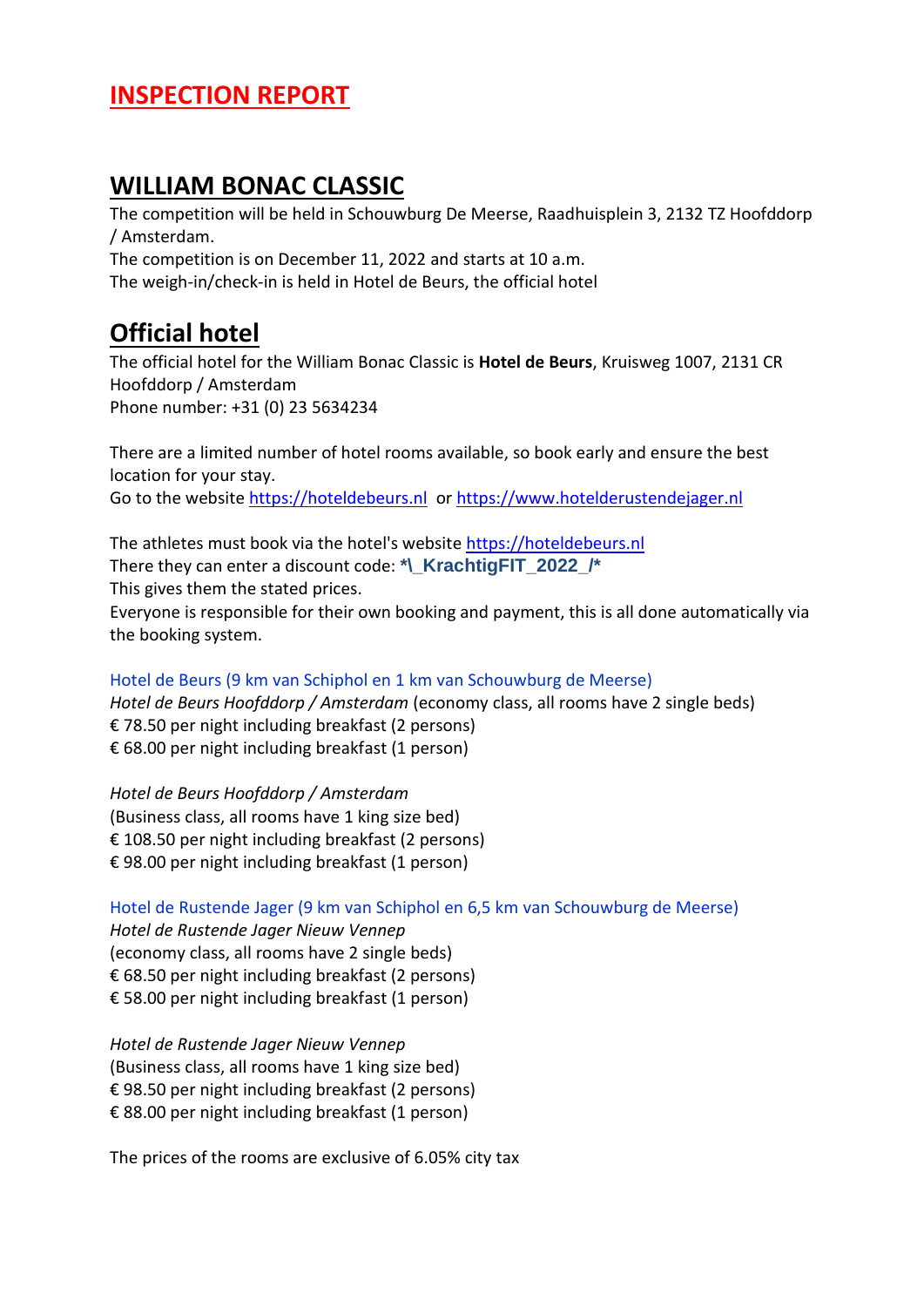#### **INSPECTION REPORT**

#### **WILLIAM BONAC CLASSIC**

The competition will be held in Schouwburg De Meerse, Raadhuisplein 3, 2132 TZ Hoofddorp / Amsterdam.

The competition is on December 11, 2022 and starts at 10 a.m. The weigh-in/check-in is held in Hotel de Beurs, the official hotel

### **Official hotel**

The official hotel for the William Bonac Classic is **Hotel de Beurs**, Kruisweg 1007, 2131 CR Hoofddorp / Amsterdam Phone number: +31 (0) 23 5634234

There are a limited number of hotel rooms available, so book early and ensure the best location for your stay. Go to the website [https://hoteldebeurs.nl](https://hoteldebeurs.nl/) or [https://www.hotelderustendejager.nl](https://www.hotelderustendejager.nl/)

The athletes must book via the hotel's website [https://hoteldebeurs.nl](https://hoteldebeurs.nl/) There they can enter a discount code: **\*\\_KrachtigFIT\_2022\_/\*** This gives them the stated prices. Everyone is responsible for their own booking and payment, this is all done automatically via the booking system.

Hotel de Beurs (9 km van Schiphol en 1 km van Schouwburg de Meerse) *Hotel de Beurs Hoofddorp / Amsterdam* (economy class, all rooms have 2 single beds) € 78.50 per night including breakfast (2 persons) € 68.00 per night including breakfast (1 person)

*Hotel de Beurs Hoofddorp / Amsterdam* (Business class, all rooms have 1 king size bed) € 108.50 per night including breakfast (2 persons) € 98.00 per night including breakfast (1 person)

Hotel de Rustende Jager (9 km van Schiphol en 6,5 km van Schouwburg de Meerse)

*Hotel de Rustende Jager Nieuw Vennep* (economy class, all rooms have 2 single beds) € 68.50 per night including breakfast (2 persons) € 58.00 per night including breakfast (1 person)

*Hotel de Rustende Jager Nieuw Vennep* (Business class, all rooms have 1 king size bed) € 98.50 per night including breakfast (2 persons) € 88.00 per night including breakfast (1 person)

The prices of the rooms are exclusive of 6.05% city tax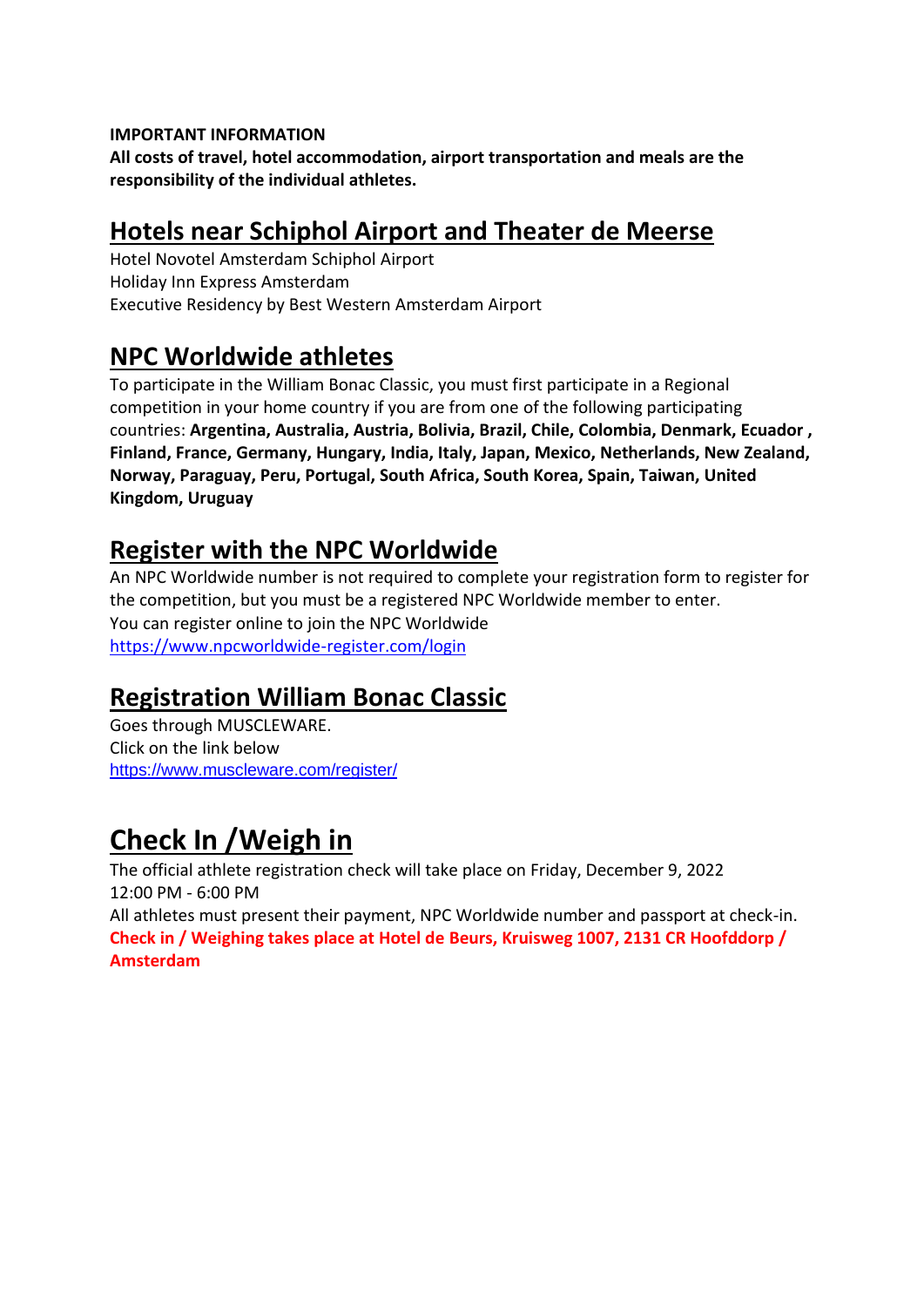#### **IMPORTANT INFORMATION**

**All costs of travel, hotel accommodation, airport transportation and meals are the responsibility of the individual athletes.**

### **Hotels near Schiphol Airport and Theater de Meerse**

Hotel Novotel Amsterdam Schiphol Airport Holiday Inn Express Amsterdam Executive Residency by Best Western Amsterdam Airport

#### **NPC Worldwide athletes**

To participate in the William Bonac Classic, you must first participate in a Regional competition in your home country if you are from one of the following participating countries: **Argentina, Australia, Austria, Bolivia, Brazil, Chile, Colombia, Denmark, Ecuador , Finland, France, Germany, Hungary, India, Italy, Japan, Mexico, Netherlands, New Zealand, Norway, Paraguay, Peru, Portugal, South Africa, South Korea, Spain, Taiwan, United Kingdom, Uruguay**

### **Register with the NPC Worldwide**

An NPC Worldwide number is not required to complete your registration form to register for the competition, but you must be a registered NPC Worldwide member to enter. You can register online to join the NPC Worldwide <https://www.npcworldwide-register.com/login>

### **Registration William Bonac Classic**

Goes through MUSCLEWARE. Click on the link below <https://www.muscleware.com/register/>

# **Check In /Weigh in**

The official athlete registration check will take place on Friday, December 9, 2022 12:00 PM - 6:00 PM

All athletes must present their payment, NPC Worldwide number and passport at check-in. **Check in / Weighing takes place at Hotel de Beurs, Kruisweg 1007, 2131 CR Hoofddorp / Amsterdam**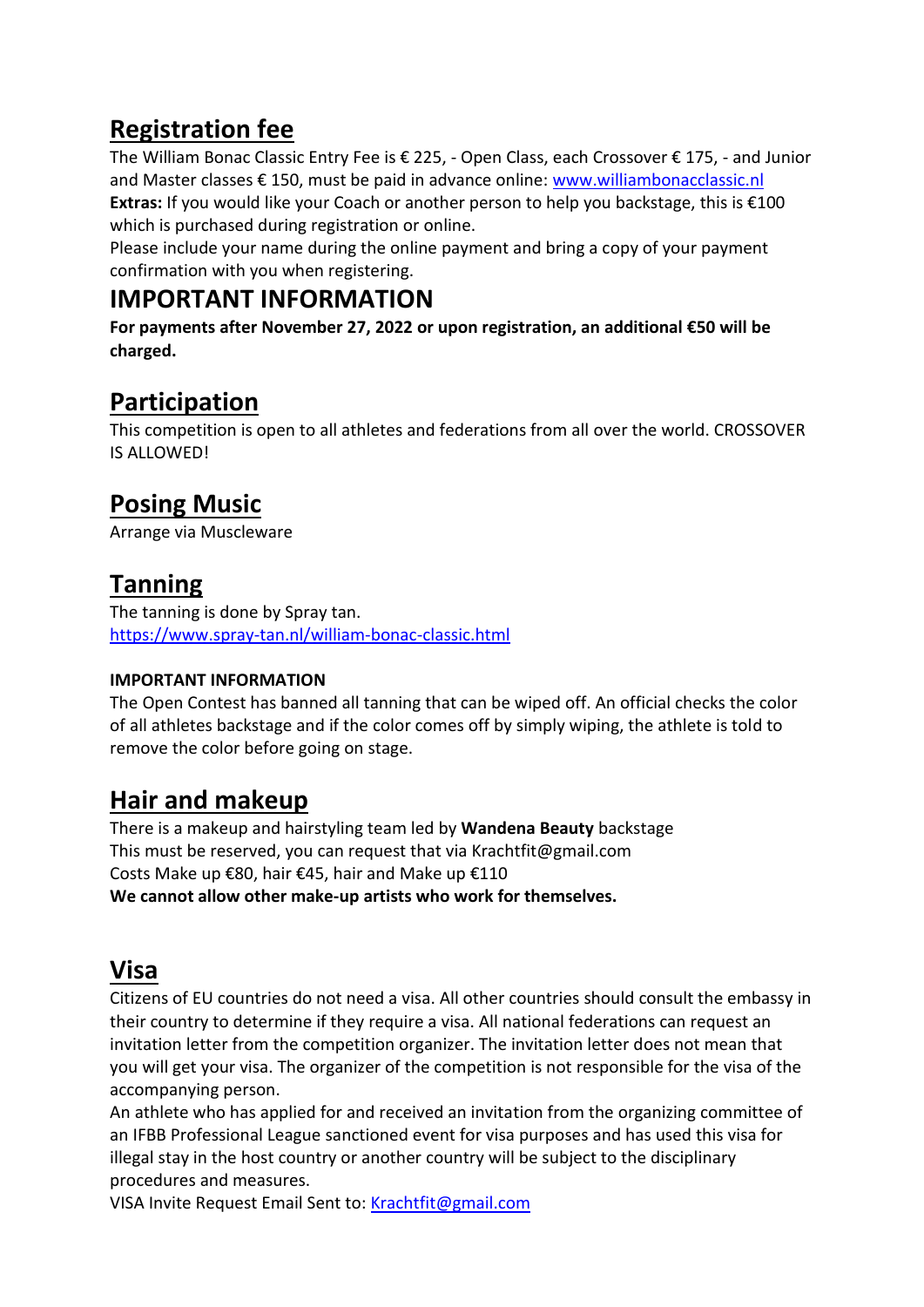# **Registration fee**

The William Bonac Classic Entry Fee is € 225, - Open Class, each Crossover € 175, - and Junior and Master classes € 150, must be paid in advance online: [www.williambonacclassic.nl](http://www.williambonacclassic.nl/) **Extras:** If you would like your Coach or another person to help you backstage, this is €100 which is purchased during registration or online.

Please include your name during the online payment and bring a copy of your payment confirmation with you when registering.

### **IMPORTANT INFORMATION**

**For payments after November 27, 2022 or upon registration, an additional €50 will be charged.**

# **Participation**

This competition is open to all athletes and federations from all over the world. CROSSOVER IS ALLOWED!

# **Posing Music**

Arrange via Muscleware

# **Tanning**

The tanning is done by Spray tan. <https://www.spray-tan.nl/william-bonac-classic.html>

#### **IMPORTANT INFORMATION**

The Open Contest has banned all tanning that can be wiped off. An official checks the color of all athletes backstage and if the color comes off by simply wiping, the athlete is told to remove the color before going on stage.

## **Hair and makeup**

There is a makeup and hairstyling team led by **Wandena Beauty** backstage This must be reserved, you can request that via Krachtfit@gmail.com Costs Make up €80, hair €45, hair and Make up €110 **We cannot allow other make-up artists who work for themselves.**

## **Visa**

Citizens of EU countries do not need a visa. All other countries should consult the embassy in their country to determine if they require a visa. All national federations can request an invitation letter from the competition organizer. The invitation letter does not mean that you will get your visa. The organizer of the competition is not responsible for the visa of the accompanying person.

An athlete who has applied for and received an invitation from the organizing committee of an IFBB Professional League sanctioned event for visa purposes and has used this visa for illegal stay in the host country or another country will be subject to the disciplinary procedures and measures.

VISA Invite Request Email Sent to: [Krachtfit@gmail.com](mailto:Krachtfit@gmail.com)